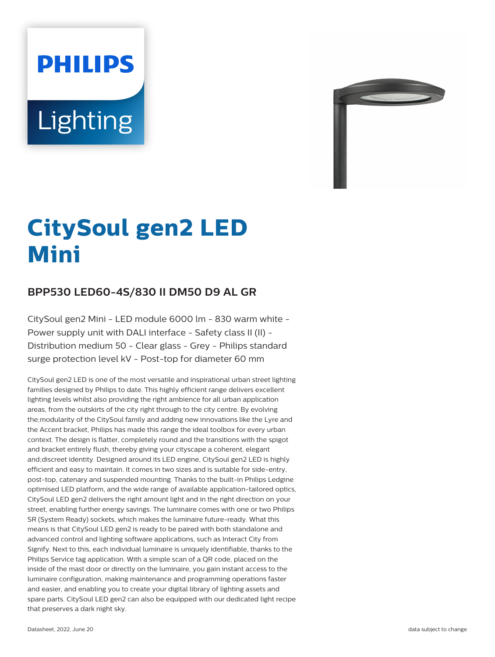# **PHILIPS Lighting**



# **CitySoul gen2 LED Mini**

# **BPP530 LED60-4S/830 II DM50 D9 AL GR**

CitySoul gen2 Mini - LED module 6000 lm - 830 warm white - Power supply unit with DALI interface - Safety class II (II) -Distribution medium 50 - Clear glass - Grey - Philips standard surge protection level kV - Post-top for diameter 60 mm

CitySoul gen2 LED is one of the most versatile and inspirational urban street lighting families designed by Philips to date. This highly efficient range delivers excellent lighting levels whilst also providing the right ambience for all urban application areas, from the outskirts of the city right through to the city centre. By evolving the;modularity of the CitySoul family and adding new innovations like the Lyre and the Accent bracket, Philips has made this range the ideal toolbox for every urban context. The design is flatter, completely round and the transitions with the spigot and bracket entirely flush, thereby giving your cityscape a coherent, elegant and;discreet identity. Designed around its LED engine, CitySoul gen2 LED is highly efficient and easy to maintain. It comes in two sizes and is suitable for side-entry, post-top, catenary and suspended mounting. Thanks to the built-in Philips Ledgine optimised LED platform, and the wide range of available application-tailored optics, CitySoul LED gen2 delivers the right amount light and in the right direction on your street, enabling further energy savings. The luminaire comes with one or two Philips SR (System Ready) sockets, which makes the luminaire future-ready. What this means is that CitySoul LED gen2 is ready to be paired with both standalone and advanced control and lighting software applications, such as Interact City from Signify. Next to this, each individual luminaire is uniquely identifiable, thanks to the Philips Service tag application. With a simple scan of a QR code, placed on the inside of the mast door or directly on the luminaire, you gain instant access to the luminaire configuration, making maintenance and programming operations faster and easier, and enabling you to create your digital library of lighting assets and spare parts. CitySoul LED gen2 can also be equipped with our dedicated light recipe that preserves a dark night sky.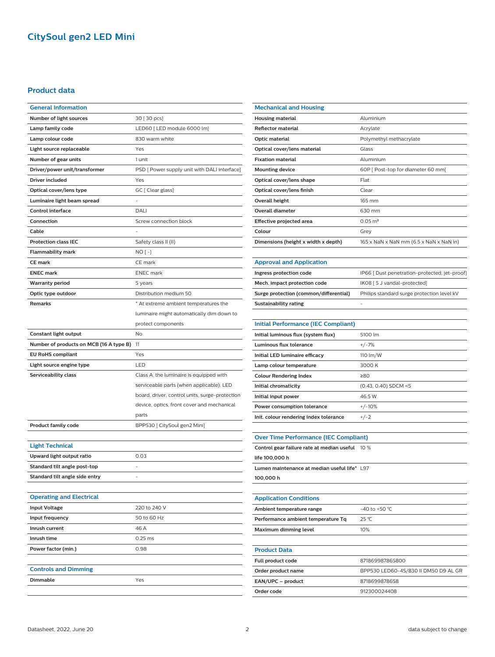## **CitySoul gen2 LED Mini**

#### **Product data**

| <b>General Information</b>              |                                                |  |  |
|-----------------------------------------|------------------------------------------------|--|--|
| Number of light sources                 | 30 [ 30 pcs]                                   |  |  |
| Lamp family code                        | LED60 [ LED module 6000 lm]                    |  |  |
| Lamp colour code                        | 830 warm white                                 |  |  |
| Light source replaceable                | Yes                                            |  |  |
| Number of gear units                    | 1 unit                                         |  |  |
| Driver/power unit/transformer           | PSD [ Power supply unit with DALI interface]   |  |  |
| Driver included                         | Yes                                            |  |  |
| Optical cover/lens type                 | GC [ Clear glass]                              |  |  |
| Luminaire light beam spread             |                                                |  |  |
| <b>Control interface</b>                | DALI                                           |  |  |
| Connection                              | Screw connection block                         |  |  |
| Cable                                   |                                                |  |  |
| <b>Protection class IEC</b>             | Safety class II (II)                           |  |  |
| <b>Flammability mark</b>                | $NO[-]$                                        |  |  |
| <b>CE mark</b>                          | CE mark                                        |  |  |
| <b>ENEC mark</b>                        | <b>ENEC</b> mark                               |  |  |
| Warranty period                         | 5 years                                        |  |  |
| Optic type outdoor                      | Distribution medium 50                         |  |  |
| <b>Remarks</b>                          | * At extreme ambient temperatures the          |  |  |
|                                         | luminaire might automatically dim down to      |  |  |
|                                         | protect components                             |  |  |
| Constant light output                   | No                                             |  |  |
| Number of products on MCB (16 A type B) | 11                                             |  |  |
|                                         |                                                |  |  |
| <b>EU RoHS compliant</b>                | Yes                                            |  |  |
| Light source engine type                | LED                                            |  |  |
| Serviceability class                    | Class A, the luminaire is equipped with        |  |  |
|                                         | serviceable parts (when applicable): LED       |  |  |
|                                         | board, driver, control units, surge-protection |  |  |
|                                         | device, optics, front cover and mechanical     |  |  |
|                                         | parts                                          |  |  |
| <b>Product family code</b>              | BPP530 [ CitySoul gen2 Mini]                   |  |  |
|                                         |                                                |  |  |
| <b>Light Technical</b>                  |                                                |  |  |
| Upward light output ratio               | 0.03                                           |  |  |
| Standard tilt angle post-top            |                                                |  |  |
| Standard tilt angle side entry          |                                                |  |  |
|                                         |                                                |  |  |
| <b>Operating and Electrical</b>         |                                                |  |  |
| <b>Input Voltage</b>                    | 220 to 240 V                                   |  |  |
| Input frequency                         | 50 to 60 Hz                                    |  |  |
| Inrush current                          | 46 A                                           |  |  |
| Inrush time                             | $0.25$ ms                                      |  |  |
| Power factor (min.)                     | 0.98                                           |  |  |
|                                         |                                                |  |  |
| <b>Controls and Dimming</b>             |                                                |  |  |
| Dimmable                                | Yes                                            |  |  |

| <b>Mechanical and Housing</b>       |                                         |  |
|-------------------------------------|-----------------------------------------|--|
| Housing material                    | Aluminium                               |  |
| <b>Reflector material</b>           | Acrylate                                |  |
| Optic material                      | Polymethyl methacrylate                 |  |
| Optical cover/lens material         | Glass                                   |  |
| <b>Fixation material</b>            | Aluminium                               |  |
| <b>Mounting device</b>              | 60P [ Post-top for diameter 60 mm]      |  |
| Optical cover/lens shape            | Flat                                    |  |
| Optical cover/lens finish           | Clear                                   |  |
| Overall height                      | 165 mm                                  |  |
| <b>Overall diameter</b>             | 630 mm                                  |  |
| Effective projected area            | $0.05 \text{ m}^2$                      |  |
| Colour                              | Grey                                    |  |
| Dimensions (height x width x depth) | 165 x NaN x NaN mm (6.5 x NaN x NaN in) |  |
|                                     |                                         |  |

#### **Approval and Application**

| Ingress protection code                | IP66 [ Dust penetration-protected, jet-proof] |  |
|----------------------------------------|-----------------------------------------------|--|
| Mech. impact protection code           | IK08 [ 5 J vandal-protected]                  |  |
| Surge protection (common/differential) | Philips standard surge protection level kV    |  |
| Sustainability rating                  | -                                             |  |

| <b>Initial Performance (IEC Compliant)</b> |                        |
|--------------------------------------------|------------------------|
| Initial luminous flux (system flux)        | 5100 lm                |
| Luminous flux tolerance                    | $+/-7%$                |
| Initial LED luminaire efficacy             | 110 lm/W               |
| Lamp colour temperature                    | 3000 K                 |
| <b>Colour Rendering Index</b>              | 280                    |
| Initial chromaticity                       | $(0.43, 0.40)$ SDCM <5 |
| Initial input power                        | 46.5 W                 |
| Power consumption tolerance                | $+/-10%$               |
| Init. colour rendering index tolerance     | $+/-2$                 |

| <b>Over Time Performance (IEC Compliant)</b>    |                    |  |
|-------------------------------------------------|--------------------|--|
| Control gear failure rate at median useful 10 % |                    |  |
| life 100.000 h                                  |                    |  |
| Lumen maintenance at median useful life* 1.97   |                    |  |
| 100,000 h                                       |                    |  |
|                                                 |                    |  |
| <b>Application Conditions</b>                   |                    |  |
| Ambient temperature range                       | $-40$ to $+50$ °C. |  |
| Performance ambient temperature Tq              | $25^{\circ}$ C     |  |
| Maximum dimming level                           | 10%                |  |
|                                                 |                    |  |
| <b>Product Data</b>                             |                    |  |

| Full product code  | 871869987865800                      |
|--------------------|--------------------------------------|
| Order product name | BPP530 LED60-4S/830 II DM50 D9 AL GR |
| EAN/UPC - product  | 8718699878658                        |
| Order code         | 912300024408                         |